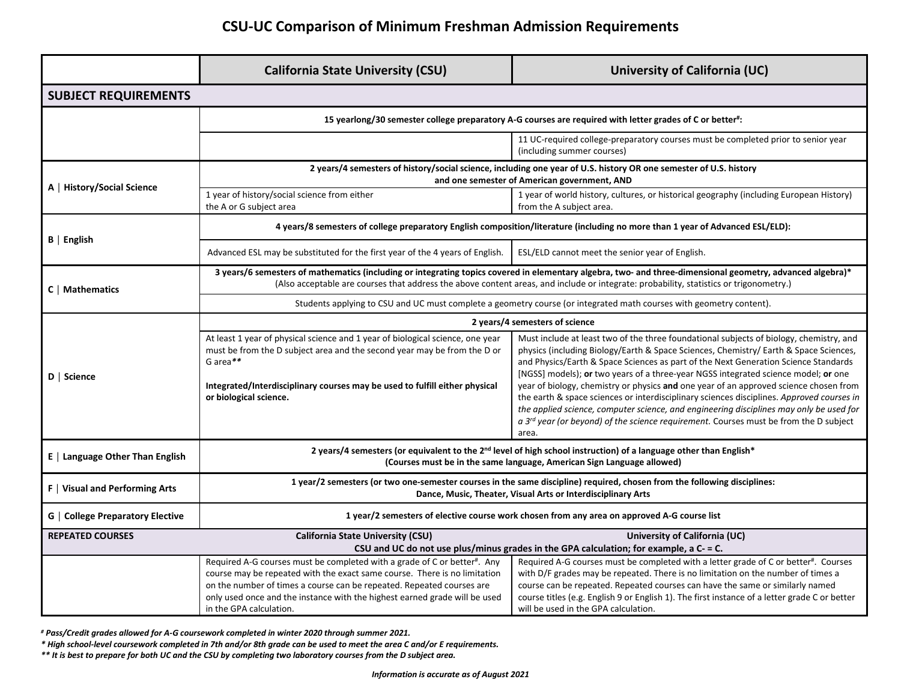## **CSU-UC Comparison of Minimum Freshman Admission Requirements**

|                                         | <b>California State University (CSU)</b>                                                                                                                                                                                                                                                                                                | University of California (UC)                                                                                                                                                                                                                                                                                                                                                                                                                                                                                                                                                                                                                                                                                                                         |  |
|-----------------------------------------|-----------------------------------------------------------------------------------------------------------------------------------------------------------------------------------------------------------------------------------------------------------------------------------------------------------------------------------------|-------------------------------------------------------------------------------------------------------------------------------------------------------------------------------------------------------------------------------------------------------------------------------------------------------------------------------------------------------------------------------------------------------------------------------------------------------------------------------------------------------------------------------------------------------------------------------------------------------------------------------------------------------------------------------------------------------------------------------------------------------|--|
| <b>SUBJECT REQUIREMENTS</b>             |                                                                                                                                                                                                                                                                                                                                         |                                                                                                                                                                                                                                                                                                                                                                                                                                                                                                                                                                                                                                                                                                                                                       |  |
|                                         | 15 yearlong/30 semester college preparatory A-G courses are required with letter grades of C or better":                                                                                                                                                                                                                                |                                                                                                                                                                                                                                                                                                                                                                                                                                                                                                                                                                                                                                                                                                                                                       |  |
|                                         |                                                                                                                                                                                                                                                                                                                                         | 11 UC-required college-preparatory courses must be completed prior to senior year<br>(including summer courses)                                                                                                                                                                                                                                                                                                                                                                                                                                                                                                                                                                                                                                       |  |
| A   History/Social Science              | 2 years/4 semesters of history/social science, including one year of U.S. history OR one semester of U.S. history<br>and one semester of American government, AND                                                                                                                                                                       |                                                                                                                                                                                                                                                                                                                                                                                                                                                                                                                                                                                                                                                                                                                                                       |  |
|                                         | 1 year of history/social science from either<br>the A or G subject area                                                                                                                                                                                                                                                                 | 1 year of world history, cultures, or historical geography (including European History)<br>from the A subject area.                                                                                                                                                                                                                                                                                                                                                                                                                                                                                                                                                                                                                                   |  |
| $B$   English                           | 4 years/8 semesters of college preparatory English composition/literature (including no more than 1 year of Advanced ESL/ELD):                                                                                                                                                                                                          |                                                                                                                                                                                                                                                                                                                                                                                                                                                                                                                                                                                                                                                                                                                                                       |  |
|                                         | Advanced ESL may be substituted for the first year of the 4 years of English.                                                                                                                                                                                                                                                           | ESL/ELD cannot meet the senior year of English.                                                                                                                                                                                                                                                                                                                                                                                                                                                                                                                                                                                                                                                                                                       |  |
| $C \mid$ Mathematics                    | 3 years/6 semesters of mathematics (including or integrating topics covered in elementary algebra, two- and three-dimensional geometry, advanced algebra)*<br>(Also acceptable are courses that address the above content areas, and include or integrate: probability, statistics or trigonometry.)                                    |                                                                                                                                                                                                                                                                                                                                                                                                                                                                                                                                                                                                                                                                                                                                                       |  |
|                                         | Students applying to CSU and UC must complete a geometry course (or integrated math courses with geometry content).                                                                                                                                                                                                                     |                                                                                                                                                                                                                                                                                                                                                                                                                                                                                                                                                                                                                                                                                                                                                       |  |
| D   Science                             | 2 years/4 semesters of science                                                                                                                                                                                                                                                                                                          |                                                                                                                                                                                                                                                                                                                                                                                                                                                                                                                                                                                                                                                                                                                                                       |  |
|                                         | At least 1 year of physical science and 1 year of biological science, one year<br>must be from the D subject area and the second year may be from the D or<br>G area**<br>Integrated/Interdisciplinary courses may be used to fulfill either physical<br>or biological science.                                                         | Must include at least two of the three foundational subjects of biology, chemistry, and<br>physics (including Biology/Earth & Space Sciences, Chemistry/ Earth & Space Sciences,<br>and Physics/Earth & Space Sciences as part of the Next Generation Science Standards<br>[NGSS] models); or two years of a three-year NGSS integrated science model; or one<br>year of biology, chemistry or physics and one year of an approved science chosen from<br>the earth & space sciences or interdisciplinary sciences disciplines. Approved courses in<br>the applied science, computer science, and engineering disciplines may only be used for<br>a $3^{rd}$ year (or beyond) of the science requirement. Courses must be from the D subject<br>area. |  |
| E   Language Other Than English         | 2 years/4 semesters (or equivalent to the 2 <sup>nd</sup> level of high school instruction) of a language other than English*<br>(Courses must be in the same language, American Sign Language allowed)                                                                                                                                 |                                                                                                                                                                                                                                                                                                                                                                                                                                                                                                                                                                                                                                                                                                                                                       |  |
| F   Visual and Performing Arts          | 1 year/2 semesters (or two one-semester courses in the same discipline) required, chosen from the following disciplines:<br>Dance, Music, Theater, Visual Arts or Interdisciplinary Arts                                                                                                                                                |                                                                                                                                                                                                                                                                                                                                                                                                                                                                                                                                                                                                                                                                                                                                                       |  |
| <b>G</b>   College Preparatory Elective | 1 year/2 semesters of elective course work chosen from any area on approved A-G course list                                                                                                                                                                                                                                             |                                                                                                                                                                                                                                                                                                                                                                                                                                                                                                                                                                                                                                                                                                                                                       |  |
| <b>REPEATED COURSES</b>                 | <b>California State University (CSU)</b><br>University of California (UC)<br>CSU and UC do not use plus/minus grades in the GPA calculation; for example, a C- = C.                                                                                                                                                                     |                                                                                                                                                                                                                                                                                                                                                                                                                                                                                                                                                                                                                                                                                                                                                       |  |
|                                         | Required A-G courses must be completed with a grade of C or better#. Any<br>course may be repeated with the exact same course. There is no limitation<br>on the number of times a course can be repeated. Repeated courses are<br>only used once and the instance with the highest earned grade will be used<br>in the GPA calculation. | Required A-G courses must be completed with a letter grade of C or better#. Courses<br>with D/F grades may be repeated. There is no limitation on the number of times a<br>course can be repeated. Repeated courses can have the same or similarly named<br>course titles (e.g. English 9 or English 1). The first instance of a letter grade C or better<br>will be used in the GPA calculation.                                                                                                                                                                                                                                                                                                                                                     |  |

*# Pass/Credit grades allowed for A-G coursework completed in winter 2020 through summer 2021.*

*\* High school-level coursework completed in 7th and/or 8th grade can be used to meet the area C and/or E requirements.* 

*\*\* It is best to prepare for both UC and the CSU by completing two laboratory courses from the D subject area.*